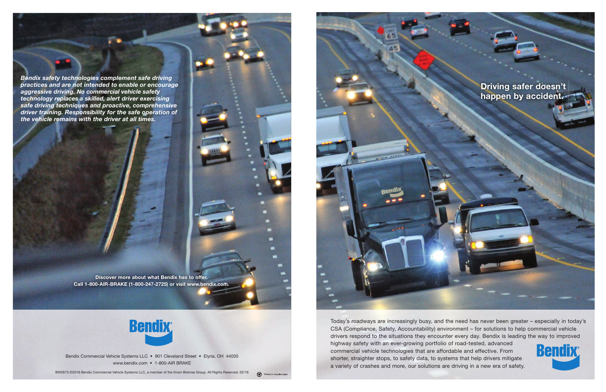## Driving safer doesn't happen by accident.



Bendix Commercial Vehicle Systems LLC • 901 Cleveland Street • Elyria, OH 44035 www.bendix.com • 1-800-AIR BRAKE

BW2873 ©2016 Bendix Commercial Vehicle Systems LLC, a member of the Knorr-Bremse Group. All Rights Reserved. 02/16



Today's roadways are increasingly busy, and the need has never been greater – especially in today's CSA (Compliance, Safety, Accountability) environment – for solutions to help commercial vehicle drivers respond to the situations they encounter every day. Bendix is leading the way to improved highway safety with an ever-growing portfolio of road-tested, advanced Bendix commercial vehicle technologies that are affordable and effective. From shorter, straighter stops, to safety data, to systems that help drivers mitigate a variety of crashes and more, our solutions are driving in a new era of safety.

Discover more about what Bendix has to offer. Call 1-800-AIR-BRAKE (1-800-247-2725) or visit www.bendix.com.



Bendix safety technologies complement safe driving practices and are not intended to enable or encourage aggressive driving. No commercial vehicle safety technology replaces a skilled, alert driver exercising safe driving techniques and proactive, comprehensive driver training. Responsibility for the safe operation of the vehicle remains with the driver at all times.